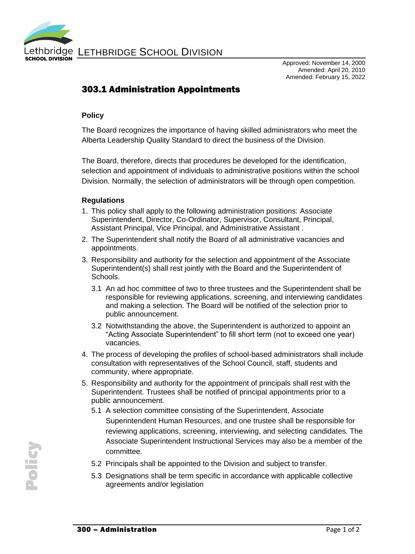

Approved: November 14, 2000 Amended: April 20, 2010 Amended: February 15, 2022

## 303.1 Administration Appointments

## **Policy**

The Board recognizes the importance of having skilled administrators who meet the Alberta Leadership Quality Standard to direct the business of the Division.

The Board, therefore, directs that procedures be developed for the identification, selection and appointment of individuals to administrative positions within the school Division. Normally, the selection of administrators will be through open competition.

## **Regulations**

- 1. This policy shall apply to the following administration positions: Associate Superintendent, Director, Co-Ordinator, Supervisor, Consultant, Principal, Assistant Principal, Vice Principal, and Administrative Assistant .
- 2. The Superintendent shall notify the Board of all administrative vacancies and appointments.
- 3. Responsibility and authority for the selection and appointment of the Associate Superintendent(s) shall rest jointly with the Board and the Superintendent of Schools.
	- 3.1 An ad hoc committee of two to three trustees and the Superintendent shall be responsible for reviewing applications, screening, and interviewing candidates and making a selection. The Board will be notified of the selection prior to public announcement.
	- 3.2 Notwithstanding the above, the Superintendent is authorized to appoint an "Acting Associate Superintendent" to fill short term (not to exceed one year) vacancies.
- 4. The process of developing the profiles of school-based administrators shall include consultation with representatives of the School Council, staff, students and community, where appropriate.
- 5. Responsibility and authority for the appointment of principals shall rest with the Superintendent. Trustees shall be notified of principal appointments prior to a public announcement.
	- 5.1 A selection committee consisting of the Superintendent, Associate Superintendent Human Resources, and one trustee shall be responsible for reviewing applications, screening, interviewing, and selecting candidates. The Associate Superintendent Instructional Services may also be a member of the committee.
	- 5.2 Principals shall be appointed to the Division and subject to transfer.
	- 5.3 Designations shall be term specific in accordance with applicable collective agreements and/or legislation